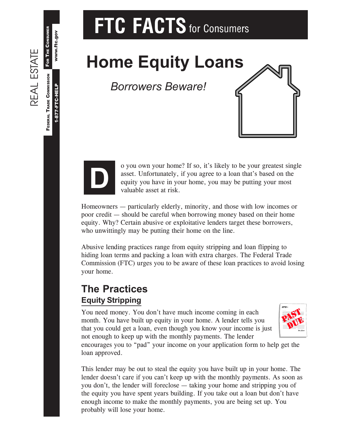# **FTC FACTS** for Consumers

## **Home Equity Loans**

*Borrowers Beware!*





REAL ESTATE

REAL ESTATE

FEDERAL TRADE COMMISSION FOR THE CONSUMER

FEDERAL TRADE COMMISSION FOR THE CONSUMER

1-877-FTC-HELP

1-877-FTC-HELP

www.ftc.gov

www.ftc.gov

o you own your home? If so, it's likely to be your greatest single asset. Unfortunately, if you agree to a loan that's based on the equity you have in your home, you may be putting your most valuable asset at risk.

Homeowners — particularly elderly, minority, and those with low incomes or poor credit – should be careful when borrowing money based on their home equity. Why? Certain abusive or exploitative lenders target these borrowers, who unwittingly may be putting their home on the line.

Abusive lending practices range from equity stripping and loan flipping to hiding loan terms and packing a loan with extra charges. The Federal Trade Commission (FTC) urges you to be aware of these loan practices to avoid losing your home.

### **The Practices Equity Stripping**

You need money. You don't have much income coming in each month. You have built up equity in your home. A lender tells you that you could get a loan, even though you know your income is just not enough to keep up with the monthly payments. The lender



encourages you to "pad" your income on your application form to help get the loan approved.

This lender may be out to steal the equity you have built up in your home. The lender doesn't care if you can't keep up with the monthly payments. As soon as you don't, the lender will foreclose — taking your home and stripping you of the equity you have spent years building. If you take out a loan but don't have enough income to make the monthly payments, you are being set up. You probably will lose your home.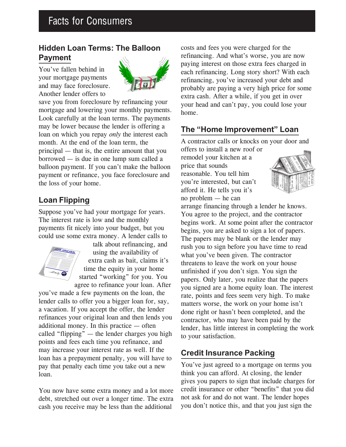#### **Hidden Loan Terms: The Balloon Payment**

You've fallen behind in your mortgage payments and may face foreclosure. Another lender offers to



save you from foreclosure by refinancing your mortgage and lowering your monthly payments. Look carefully at the loan terms. The payments may be lower because the lender is offering a loan on which you repay *only* the interest each month. At the end of the loan term, the principal  $-$  that is, the entire amount that you  $b$ orrowed  $-$  is due in one lump sum called a balloon payment. If you can't make the balloon payment or refinance, you face foreclosure and the loss of your home.

#### **Loan Flipping**

Suppose you've had your mortgage for years. The interest rate is low and the monthly payments fit nicely into your budget, but you could use some extra money. A lender calls to



talk about refinancing, and using the availability of extra cash as bait, claims it's time the equity in your home started "working" for you. You agree to refinance your loan. After

youíve made a few payments on the loan, the lender calls to offer you a bigger loan for, say, a vacation. If you accept the offer, the lender refinances your original loan and then lends you additional money. In this practice  $-$  often called "flipping"  $-$  the lender charges you high points and fees each time you refinance, and may increase your interest rate as well. If the loan has a prepayment penalty, you will have to pay that penalty each time you take out a new loan.

You now have some extra money and a lot more debt, stretched out over a longer time. The extra cash you receive may be less than the additional

costs and fees you were charged for the refinancing. And what's worse, you are now paying interest on those extra fees charged in each refinancing. Long story short? With each refinancing, you've increased your debt and probably are paying a very high price for some extra cash. After a while, if you get in over your head and can't pay, you could lose your home.

#### **The "Home Improvement" Loan**

A contractor calls or knocks on your door and

offers to install a new roof or remodel your kitchen at a price that sounds reasonable. You tell him you're interested, but can't afford it. He tells you it's  $no$  problem  $-$  he can



arrange financing through a lender he knows. You agree to the project, and the contractor begins work. At some point after the contractor begins, you are asked to sign a lot of papers. The papers may be blank or the lender may rush you to sign before you have time to read what you've been given. The contractor threatens to leave the work on your house unfinished if you don't sign. You sign the papers. Only later, you realize that the papers you signed are a home equity loan. The interest rate, points and fees seem very high. To make matters worse, the work on your home isn't done right or hasn't been completed, and the contractor, who may have been paid by the lender, has little interest in completing the work to your satisfaction.

#### **Credit Insurance Packing**

You've just agreed to a mortgage on terms you think you can afford. At closing, the lender gives you papers to sign that include charges for credit insurance or other "benefits" that you did not ask for and do not want. The lender hopes you don't notice this, and that you just sign the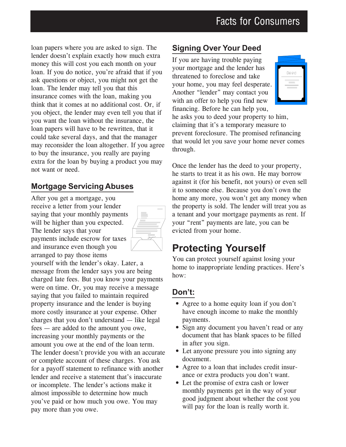loan papers where you are asked to sign. The lender doesn't explain exactly how much extra money this will cost you each month on your loan. If you do notice, you're afraid that if you ask questions or object, you might not get the loan. The lender may tell you that this insurance comes with the loan, making you think that it comes at no additional cost. Or, if you object, the lender may even tell you that if you want the loan without the insurance, the loan papers will have to be rewritten, that it could take several days, and that the manager may reconsider the loan altogether. If you agree to buy the insurance, you really are paying extra for the loan by buying a product you may not want or need.

#### **Mortgage Servicing Abuses**

After you get a mortgage, you receive a letter from your lender saying that your monthly payments will be higher than you expected. The lender says that your payments include escrow for taxes and insurance even though you



#### **Signing Over Your Deed**

If you are having trouble paying your mortgage and the lender has threatened to foreclose and take your home, you may feel desperate. Another "lender" may contact you with an offer to help you find new financing. Before he can help you,



he asks you to deed your property to him, claiming that it's a temporary measure to prevent foreclosure. The promised refinancing that would let you save your home never comes through.

Once the lender has the deed to your property, he starts to treat it as his own. He may borrow against it (for his benefit, not yours) or even sell it to someone else. Because you don't own the home any more, you won't get any money when the property is sold. The lender will treat you as a tenant and your mortgage payments as rent. If your "rent" payments are late, you can be evicted from your home.

## **Protecting Yourself**

You can protect yourself against losing your home to inappropriate lending practices. Here's how:

#### Don't:

- Agree to a home equity loan if you don't have enough income to make the monthly payments.
- Sign any document you haven't read or any document that has blank spaces to be filled in after you sign.
- Let anyone pressure you into signing any document.
- Agree to a loan that includes credit insurance or extra products you don't want.
- Let the promise of extra cash or lower monthly payments get in the way of your good judgment about whether the cost you will pay for the loan is really worth it.